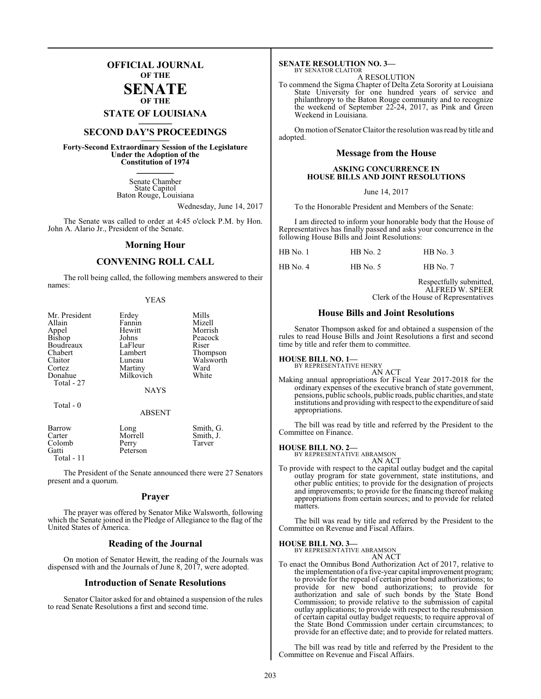## **OFFICIAL JOURNAL OF THE**

#### **SENATE OF THE**

**STATE OF LOUISIANA \_\_\_\_\_\_\_**

# **SECOND DAY'S PROCEEDINGS \_\_\_\_\_\_\_**

**Forty-Second Extraordinary Session of the Legislature Under the Adoption of the Constitution of 1974 \_\_\_\_\_\_\_**

> Senate Chamber State Capitol Baton Rouge, Louisiana

> > Wednesday, June 14, 2017

The Senate was called to order at 4:45 o'clock P.M. by Hon. John A. Alario Jr., President of the Senate.

#### **Morning Hour**

## **CONVENING ROLL CALL**

The roll being called, the following members answered to their names:

| ш<br>HАN |
|----------|
|          |

| Mr. President<br>Allain | Erdey<br>Fannin | Mills<br>Mizell |
|-------------------------|-----------------|-----------------|
| Appel                   | Hewitt          | Morrish         |
| Bishop                  | Johns           | Peacock         |
| Boudreaux               | LaFleur         | Riser           |
| Chabert                 | Lambert         | Thompson        |
| Claitor                 | Luneau          | Walsworth       |
| Cortez                  | Martiny         | Ward            |
| Donahue                 | Milkovich       | White           |
| Total - 27              |                 |                 |
|                         | <b>NAYS</b>     |                 |
| Total - 0               |                 |                 |
|                         | <b>ABSENT</b>   |                 |
| Barrow                  | Long            | Smith, G.       |
| Carter                  | Morrell         | Smith, J.       |
| Colomb                  | Perry           | Tarver          |

Gatti Peterson Total - 11

The President of the Senate announced there were 27 Senators present and a quorum.

#### **Prayer**

The prayer was offered by Senator Mike Walsworth, following which the Senate joined in the Pledge of Allegiance to the flag of the United States of America.

## **Reading of the Journal**

On motion of Senator Hewitt, the reading of the Journals was dispensed with and the Journals of June 8, 2017, were adopted.

#### **Introduction of Senate Resolutions**

Senator Claitor asked for and obtained a suspension of the rules to read Senate Resolutions a first and second time.

#### **SENATE RESOLUTION NO. 3—** BY SENATOR CLAITOR

A RESOLUTION

To commend the Sigma Chapter of Delta Zeta Sorority at Louisiana State University for one hundred years of service and philanthropy to the Baton Rouge community and to recognize the weekend of September 22-24, 2017, as Pink and Green Weekend in Louisiana.

On motion of Senator Claitor the resolution was read by title and adopted.

#### **Message from the House**

#### **ASKING CONCURRENCE IN HOUSE BILLS AND JOINT RESOLUTIONS**

June 14, 2017

To the Honorable President and Members of the Senate:

I am directed to inform your honorable body that the House of Representatives has finally passed and asks your concurrence in the following House Bills and Joint Resolutions:

| HB No. 1 | $HB$ No. 2 | $HB$ No. 3 |
|----------|------------|------------|
| HB No. 4 | $HB$ No. 5 | $HB$ No. 7 |

Respectfully submitted, ALFRED W. SPEER Clerk of the House of Representatives

#### **House Bills and Joint Resolutions**

Senator Thompson asked for and obtained a suspension of the rules to read House Bills and Joint Resolutions a first and second time by title and refer them to committee.

## **HOUSE BILL NO. 1—** BY REPRESENTATIVE HENRY

AN ACT

Making annual appropriations for Fiscal Year 2017-2018 for the ordinary expenses of the executive branch of state government, pensions, public schools, public roads, public charities, and state institutions and providing with respect to the expenditure of said appropriations.

The bill was read by title and referred by the President to the Committee on Finance.

#### **HOUSE BILL NO. 2—**

BY REPRESENTATIVE ABRAMSON AN ACT

To provide with respect to the capital outlay budget and the capital outlay program for state government, state institutions, and other public entities; to provide for the designation of projects and improvements; to provide for the financing thereof making appropriations from certain sources; and to provide for related matters.

The bill was read by title and referred by the President to the Committee on Revenue and Fiscal Affairs.

**HOUSE BILL NO. 3—**

BY REPRESENTATIVE ABRAMSON AN ACT

To enact the Omnibus Bond Authorization Act of 2017, relative to the implementation of a five-year capital improvement program; to provide for the repeal of certain prior bond authorizations; to provide for new bond authorizations; to provide for authorization and sale of such bonds by the State Bond Commission; to provide relative to the submission of capital outlay applications; to provide with respect to the resubmission of certain capital outlay budget requests; to require approval of the State Bond Commission under certain circumstances; to provide for an effective date; and to provide for related matters.

The bill was read by title and referred by the President to the Committee on Revenue and Fiscal Affairs.